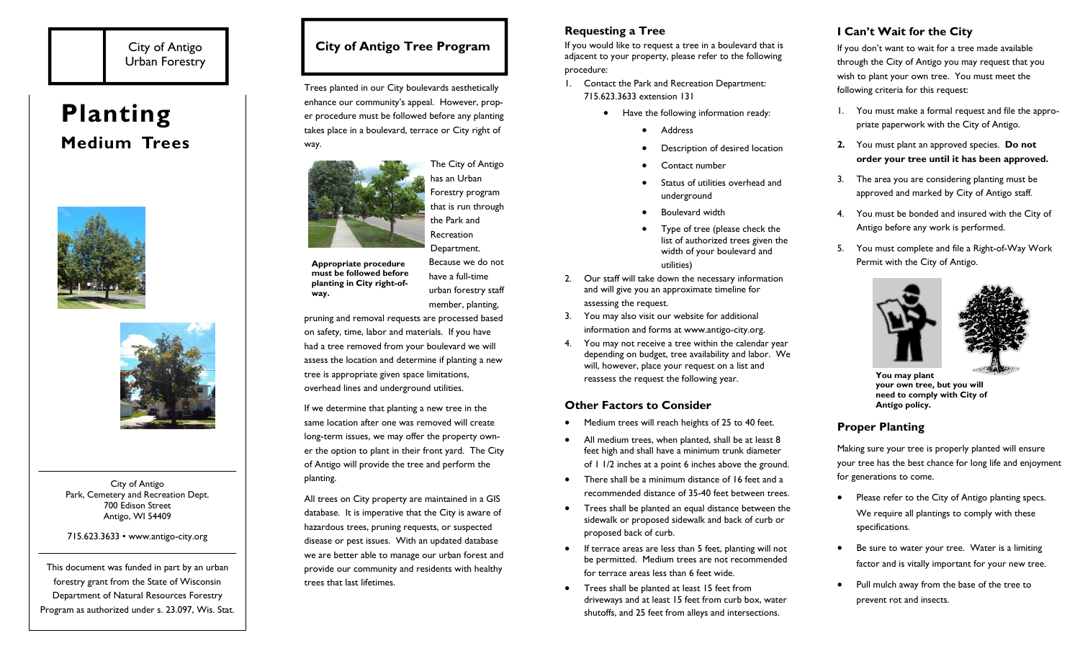# City of Antigo Urban Forestry

# **Planting Medium Trees**





City of Antigo Park, Cemetery and Recreation Dept. 700 Edison Street Antigo, WI 54409

#### 715.623.3633 • www.antigo-city.org

This document was funded in part by an urban forestry grant from the State of Wisconsin Department of Natural Resources Forestry Program as authorized under s. 23.097, Wis. Stat.

# **City of Antigo Tree Program**

Trees planted in our City boulevards aesthetically enhance our community's appeal. However, proper procedure must be followed before any planting takes place in a boulevard, terrace or City right of way.



**Appropriate procedure must be followed before planting in City right-ofway.** 

have a full-time urban forestry staff member, planting,

pruning and removal requests are processed based on safety, time, labor and materials. If you have had a tree removed from your boulevard we will assess the location and determine if planting a new tree is appropriate given space limitations, overhead lines and underground utilities.

If we determine that planting a new tree in the same location after one was removed will create long-term issues, we may offer the property owner the option to plant in their front yard. The City of Antigo will provide the tree and perform the planting.

All trees on City property are maintained in a GIS database. It is imperative that the City is aware of hazardous trees, pruning requests, or suspected disease or pest issues. With an updated database we are better able to manage our urban forest and provide our community and residents with healthy trees that last lifetimes.

## **Requesting a Tree**

If you would like to request a tree in a boulevard that is adjacent to your property, please refer to the following procedure:

- 1. Contact the Park and Recreation Department: 715.623.3633 extension 131
	- Have the following information ready:
		- $\bullet$ Address
		- $\bullet$ Description of desired location
		- $\bullet$ Contact number
		- $\bullet$  Status of utilities overhead and underground
		- $\bullet$ Boulevard width
		- $\bullet$  Type of tree (please check the list of authorized trees given the width of your boulevard and utilities)
- 2. Our staff will take down the necessary information and will give you an approximate timeline for assessing the request.
- 3. You may also visit our website for additional information and forms at www.antigo-city.org.
- 4. You may not receive a tree within the calendar year depending on budget, tree availability and labor. We will, however, place your request on a list and reassess the request the following year.

## **Other Factors to Consider**

- $\bullet$ Medium trees will reach heights of 25 to 40 feet.
- $\bullet$  All medium trees, when planted, shall be at least 8 feet high and shall have a minimum trunk diameter of 1 1/2 inches at a point 6 inches above the ground.
- $\bullet$  There shall be a minimum distance of 16 feet and a recommended distance of 35-40 feet between trees.
- $\bullet$  Trees shall be planted an equal distance between the sidewalk or proposed sidewalk and back of curb or proposed back of curb.
- $\bullet$  If terrace areas are less than 5 feet, planting will not be permitted. Medium trees are not recommended for terrace areas less than 6 feet wide.
- $\bullet$  Trees shall be planted at least 15 feet from driveways and at least 15 feet from curb box, water shutoffs, and 25 feet from alleys and intersections.

# **I Can't Wait for the City**

If you don't want to wait for a tree made available through the City of Antigo you may request that you wish to plant your own tree. You must meet the following criteria for this request:

- 1. You must make a formal request and file the appropriate paperwork with the City of Antigo.
- **2.** You must plant an approved species. **Do not order your tree until it has been approved.**
- 3. The area you are considering planting must be approved and marked by City of Antigo staff.
- 4. You must be bonded and insured with the City of Antigo before any work is performed.
- 5. You must complete and file a Right-of-Way Work Permit with the City of Antigo.





**You may plant your own tree, but you will need to comply with City of Antigo policy.** 

## **Proper Planting**

Making sure your tree is properly planted will ensure your tree has the best chance for long life and enjoyment for generations to come.

- $\bullet$  Please refer to the City of Antigo planting specs. We require all plantings to comply with these specifications.
- $\bullet$  Be sure to water your tree. Water is a limiting factor and is vitally important for your new tree.
- $\bullet$  Pull mulch away from the base of the tree to prevent rot and insects.